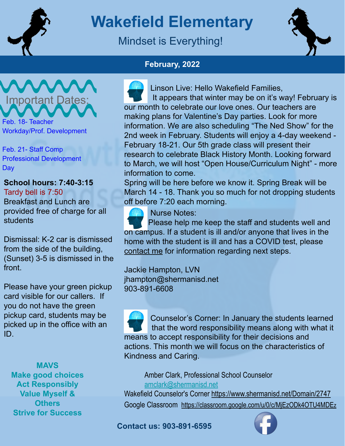

# **Wakefield Elementary**

### Mindset is Everything!



### **February, 2022**

 Linson Live: Hello Wakefield Families, It appears that winter may be on it's way! February is our month to celebrate our love ones. Our teachers are making plans for Valentine's Day parties. Look for more information. We are also scheduling "The Ned Show" for the 2nd week in February. Students will enjoy a 4-day weekend - February 18-21. Our 5th grade class will present their research to celebrate Black History Month. Looking forward to March, we will host "Open House/Curriculum Night" - more information to come.

Spring will be here before we know it. Spring Break will be March 14 - 18. Thank you so much for not dropping students off before 7:20 each morning.



Nurse Notes:

 Please help me keep the staff and students well and on campus. If a student is ill and/or anyone that lives in the home with the student is ill and has a COVID test, please contact me for information regarding next steps.

Jackie Hampton, LVN jhampton@shermanisd.net 903-891-6608

 Counselor's Corner: In January the students learned that the word responsibility means along with what it means to accept responsibility for their decisions and actions. This month we will focus on the characteristics of Kindness and Caring.

Amber Clark, Professional School Counselor amclark@shermanisd.net

Wakefield Counselor's Corner https://www.shermanisd.net/Domain/2747 Google Classroom https://classroom.google.com/u/0/c/MjEzODk4OTU4MDEz

**Contact us: 903-891-6595**



# **Important Dates**

Feb. 18- Teacher Workday/Prof. Development

Feb. 21- Staff Comp Professional Development **Day** 

**School hours: 7:40-3:15** Tardy bell is 7:50 Breakfast and Lunch are provided free of charge for all students

Dismissal: K-2 car is dismissed from the side of the building, (Sunset) 3-5 is dismissed in the front.

Please have your green pickup card visible for our callers. If you do not have the green pickup card, students may be picked up in the office with an ID.

**MAVS Make good choices Act Responsibly Value Myself & Others Strive for Success**